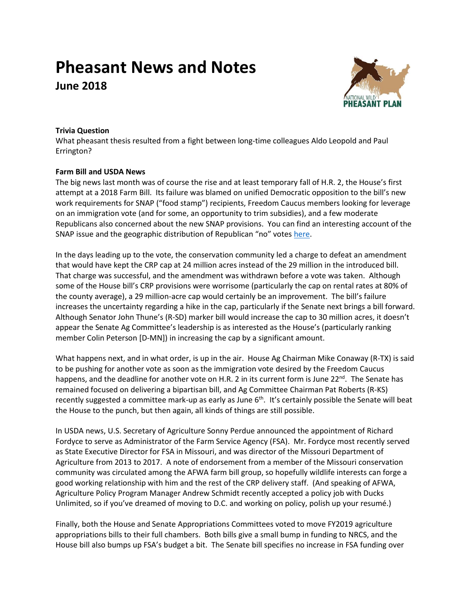# **Pheasant News and Notes**

**June 2018**



## **Trivia Question**

What pheasant thesis resulted from a fight between long-time colleagues Aldo Leopold and Paul Errington?

## **Farm Bill and USDA News**

The big news last month was of course the rise and at least temporary fall of H.R. 2, the House's first attempt at a 2018 Farm Bill. Its failure was blamed on unified Democratic opposition to the bill's new work requirements for SNAP ("food stamp") recipients, Freedom Caucus members looking for leverage on an immigration vote (and for some, an opportunity to trim subsidies), and a few moderate Republicans also concerned about the new SNAP provisions. You can find an interesting account of the SNAP issue and the geographic distribution of Republican "no" votes [here.](http://farmdocdaily.illinois.edu/2018/05/mapping-the-fate-of-the-farm-2018-house-edition.html?utm_source=farmdoc+daily+and+Farm+Policy+News+Updates&utm_campaign=5b82dfae04-FDD_RSS_EMAIL_CAMPAIGN&utm_medium=email&utm_term=0_2caf2f9764-5b82dfae04-173668653)

In the days leading up to the vote, the conservation community led a charge to defeat an amendment that would have kept the CRP cap at 24 million acres instead of the 29 million in the introduced bill. That charge was successful, and the amendment was withdrawn before a vote was taken. Although some of the House bill's CRP provisions were worrisome (particularly the cap on rental rates at 80% of the county average), a 29 million-acre cap would certainly be an improvement. The bill's failure increases the uncertainty regarding a hike in the cap, particularly if the Senate next brings a bill forward. Although Senator John Thune's (R-SD) marker bill would increase the cap to 30 million acres, it doesn't appear the Senate Ag Committee's leadership is as interested as the House's (particularly ranking member Colin Peterson [D-MN]) in increasing the cap by a significant amount.

What happens next, and in what order, is up in the air. House Ag Chairman Mike Conaway (R-TX) is said to be pushing for another vote as soon as the immigration vote desired by the Freedom Caucus happens, and the deadline for another vote on H.R. 2 in its current form is June 22<sup>nd</sup>. The Senate has remained focused on delivering a bipartisan bill, and Ag Committee Chairman Pat Roberts (R-KS) recently suggested a committee mark-up as early as June 6<sup>th</sup>. It's certainly possible the Senate will beat the House to the punch, but then again, all kinds of things are still possible.

In USDA news, U.S. Secretary of Agriculture Sonny Perdue announced the appointment of Richard Fordyce to serve as Administrator of the Farm Service Agency (FSA). Mr. Fordyce most recently served as State Executive Director for FSA in Missouri, and was director of the Missouri Department of Agriculture from 2013 to 2017. A note of endorsement from a member of the Missouri conservation community was circulated among the AFWA farm bill group, so hopefully wildlife interests can forge a good working relationship with him and the rest of the CRP delivery staff. (And speaking of AFWA, Agriculture Policy Program Manager Andrew Schmidt recently accepted a policy job with Ducks Unlimited, so if you've dreamed of moving to D.C. and working on policy, polish up your resumé.)

Finally, both the House and Senate Appropriations Committees voted to move FY2019 agriculture appropriations bills to their full chambers. Both bills give a small bump in funding to NRCS, and the House bill also bumps up FSA's budget a bit. The Senate bill specifies no increase in FSA funding over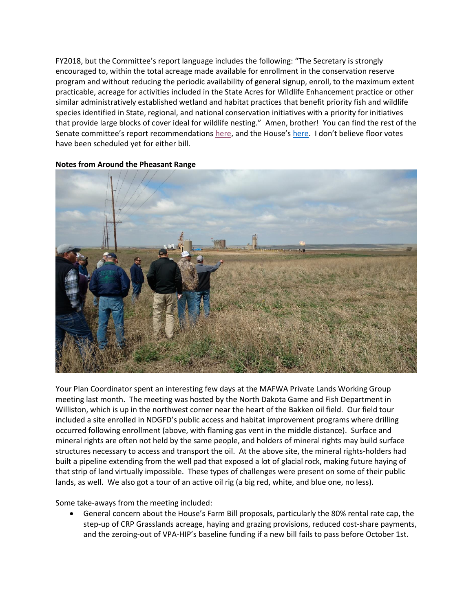FY2018, but the Committee's report language includes the following: "The Secretary is strongly encouraged to, within the total acreage made available for enrollment in the conservation reserve program and without reducing the periodic availability of general signup, enroll, to the maximum extent practicable, acreage for activities included in the State Acres for Wildlife Enhancement practice or other similar administratively established wetland and habitat practices that benefit priority fish and wildlife species identified in State, regional, and national conservation initiatives with a priority for initiatives that provide large blocks of cover ideal for wildlife nesting." Amen, brother! You can find the rest of the Senate committee's report recommendations [here](https://www.appropriations.senate.gov/imo/media/doc/FY2019%20Agriculture%20Appropriations%20Act,%20Report%20115-259.pdf), and the House's [here.](https://docs.house.gov/meetings/AP/AP00/20180516/108312/HRPT-115-HR-FY2019-Agriculture.pdf) I don't believe floor votes have been scheduled yet for either bill.



#### **Notes from Around the Pheasant Range**

Your Plan Coordinator spent an interesting few days at the MAFWA Private Lands Working Group meeting last month. The meeting was hosted by the North Dakota Game and Fish Department in Williston, which is up in the northwest corner near the heart of the Bakken oil field. Our field tour included a site enrolled in NDGFD's public access and habitat improvement programs where drilling occurred following enrollment (above, with flaming gas vent in the middle distance). Surface and mineral rights are often not held by the same people, and holders of mineral rights may build surface structures necessary to access and transport the oil. At the above site, the mineral rights-holders had built a pipeline extending from the well pad that exposed a lot of glacial rock, making future haying of that strip of land virtually impossible. These types of challenges were present on some of their public lands, as well. We also got a tour of an active oil rig (a big red, white, and blue one, no less).

Some take-aways from the meeting included:

• General concern about the House's Farm Bill proposals, particularly the 80% rental rate cap, the step-up of CRP Grasslands acreage, haying and grazing provisions, reduced cost-share payments, and the zeroing-out of VPA-HIP's baseline funding if a new bill fails to pass before October 1st.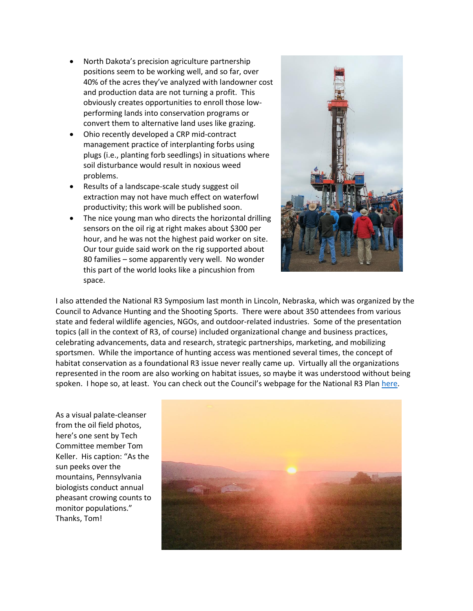- North Dakota's precision agriculture partnership positions seem to be working well, and so far, over 40% of the acres they've analyzed with landowner cost and production data are not turning a profit. This obviously creates opportunities to enroll those lowperforming lands into conservation programs or convert them to alternative land uses like grazing.
- Ohio recently developed a CRP mid-contract management practice of interplanting forbs using plugs (i.e., planting forb seedlings) in situations where soil disturbance would result in noxious weed problems.
- Results of a landscape-scale study suggest oil extraction may not have much effect on waterfowl productivity; this work will be published soon.
- The nice young man who directs the horizontal drilling sensors on the oil rig at right makes about \$300 per hour, and he was not the highest paid worker on site. Our tour guide said work on the rig supported about 80 families – some apparently very well. No wonder this part of the world looks like a pincushion from space.



I also attended the National R3 Symposium last month in Lincoln, Nebraska, which was organized by the Council to Advance Hunting and the Shooting Sports. There were about 350 attendees from various state and federal wildlife agencies, NGOs, and outdoor-related industries. Some of the presentation topics (all in the context of R3, of course) included organizational change and business practices, celebrating advancements, data and research, strategic partnerships, marketing, and mobilizing sportsmen. While the importance of hunting access was mentioned several times, the concept of habitat conservation as a foundational R3 issue never really came up. Virtually all the organizations represented in the room are also working on habitat issues, so maybe it was understood without being spoken. I hope so, at least. You can check out the Council's webpage for the National R3 Plan [here.](http://www.nationalr3plan.com/)

As a visual palate-cleanser from the oil field photos, here's one sent by Tech Committee member Tom Keller. His caption: "As the sun peeks over the mountains, Pennsylvania biologists conduct annual pheasant crowing counts to monitor populations." Thanks, Tom!

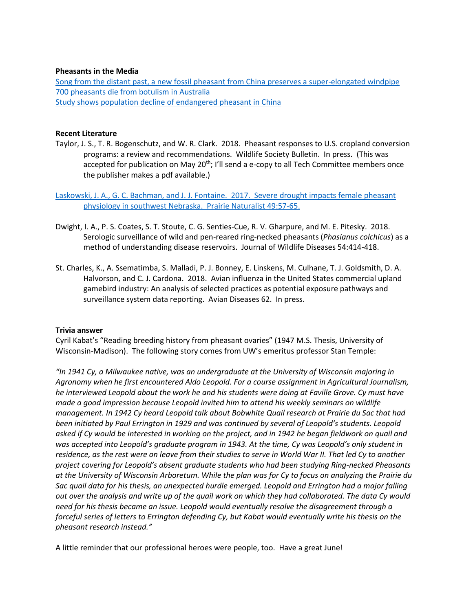#### **Pheasants in the Media**

[Song from the distant past, a new fossil pheasant from China preserves a super-elongated windpipe](https://www.eurekalert.org/pub_releases/2018-05/caos-sft053018.php) [700 pheasants die from botulism in Australia](https://coastcommunitynews.com.au/central-coast/news/2018/05/pheasants-die-botulism/) [Study shows population decline of endangered pheasant in China](http://www.xinhuanet.com/english/2018-05/26/c_137208551.htm)

### **Recent Literature**

Taylor, J. S., T. R. Bogenschutz, and W. R. Clark. 2018. Pheasant responses to U.S. cropland conversion programs: a review and recommendations. Wildlife Society Bulletin. In press. (This was accepted for publication on May 20<sup>th</sup>; I'll send a e-copy to all Tech Committee members once the publisher makes a pdf available.)

[Laskowski, J. A., G. C. Bachman, and J. J. Fontaine. 2017. Severe drought impacts female pheasant](https://sites.google.com/site/tjfontaineunl/TJ-Fontaine/publications)  [physiology in southwest Nebraska. Prairie Naturalist 49:57-65.](https://sites.google.com/site/tjfontaineunl/TJ-Fontaine/publications)

- Dwight, I. A., P. S. Coates, S. T. Stoute, C. G. Senties-Cue, R. V. Gharpure, and M. E. Pitesky. 2018. Serologic surveillance of wild and pen-reared ring-necked pheasants (*Phasianus colchicus*) as a method of understanding disease reservoirs. Journal of Wildlife Diseases 54:414-418.
- St. Charles, K., A. Ssematimba, S. Malladi, P. J. Bonney, E. Linskens, M. Culhane, T. J. Goldsmith, D. A. Halvorson, and C. J. Cardona. 2018. Avian influenza in the United States commercial upland gamebird industry: An analysis of selected practices as potential exposure pathways and surveillance system data reporting. Avian Diseases 62. In press.

#### **Trivia answer**

Cyril Kabat's "Reading breeding history from pheasant ovaries" (1947 M.S. Thesis, University of Wisconsin-Madison). The following story comes from UW's emeritus professor Stan Temple:

*"In 1941 Cy, a Milwaukee native, was an undergraduate at the University of Wisconsin majoring in Agronomy when he first encountered Aldo Leopold. For a course assignment in Agricultural Journalism, he interviewed Leopold about the work he and his students were doing at Faville Grove. Cy must have made a good impression because Leopold invited him to attend his weekly seminars on wildlife management. In 1942 Cy heard Leopold talk about Bobwhite Quail research at Prairie du Sac that had been initiated by Paul Errington in 1929 and was continued by several of Leopold's students. Leopold asked if Cy would be interested in working on the project, and in 1942 he began fieldwork on quail and was accepted into Leopold's graduate program in 1943. At the time, Cy was Leopold's only student in residence, as the rest were on leave from their studies to serve in World War II. That led Cy to another project covering for Leopold's absent graduate students who had been studying Ring-necked Pheasants at the University of Wisconsin Arboretum. While the plan was for Cy to focus on analyzing the Prairie du Sac quail data for his thesis, an unexpected hurdle emerged. Leopold and Errington had a major falling out over the analysis and write up of the quail work on which they had collaborated. The data Cy would need for his thesis became an issue. Leopold would eventually resolve the disagreement through a forceful series of letters to Errington defending Cy, but Kabat would eventually write his thesis on the pheasant research instead."*

A little reminder that our professional heroes were people, too. Have a great June!